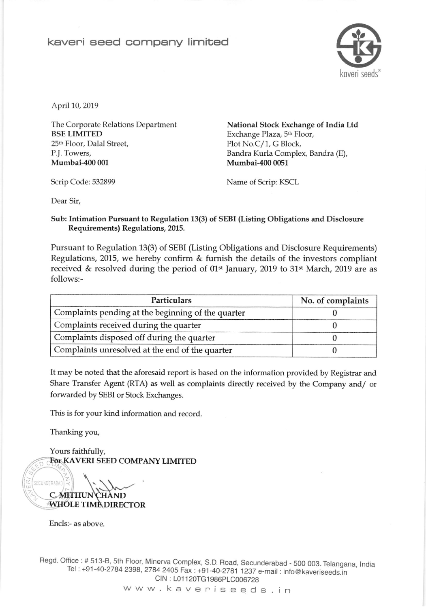## kaveri seed company limited



April 10, 2019

The Corporate Relations Department BSE LIMITED 25th Floor, Dalal Street, P.J. Towers, Mumbai-400 001

National Stock Exchange of India Ltd Exchange Plaza, 5<sup>th</sup> Floor, Plot No.C/1, G Block, Bandra Kurla Complex, Bandra (E), Mumbai-4O0 0051

Scrip Code: 532899

Name of Scrip: KSCL

Dear Sir,

## Sub: Intimation Pursuant to Regulation 13(3) of SEBI (Listing Obligations and Disclosure Requirements) Regulations, 2015.

Pursuant to Regulation 13(3) of SEBI (Listing Obligations and Disclosure Requirements) Regulations, 2015, we hereby confirm & furnish the details of the investors compliant received & resolved during the period of  $01<sup>st</sup>$  January, 2019 to 31<sup>st</sup> March, 2019 are as follows:-

| Particulars                                        | No. of complaints |
|----------------------------------------------------|-------------------|
| Complaints pending at the beginning of the quarter |                   |
| Complaints received during the quarter             |                   |
| Complaints disposed off during the quarter         |                   |
| Complaints unresolved at the end of the quarter    |                   |

It may be noted that the aforesaid report is based on the information provided by Registrar and Share Transfer Agent (RTA) as well as complaints directly received by the Company and/ or forwarded by SEBI or Stock Exchanges.

This is for your kind information and record

Thanking you,

Yours faithfully, EOT(AVERI SEED COMPANY LIMITED

SECUNDERABAL **C.MITHUN CHAND** WHOLE TIME DIRECTOR

Encls:- as above

Regd. Office : # 513-B, 5th Floor, Minerva Complex, S.D. Road, Secunderabad - 500 003. Telangana, India Tel : +91-40-2784 2398, 2784 2405 Fax : +91-40-2781 1237 e-mail : info@ kaveriseeds.ir CIN: L01120TG1986PLC006728